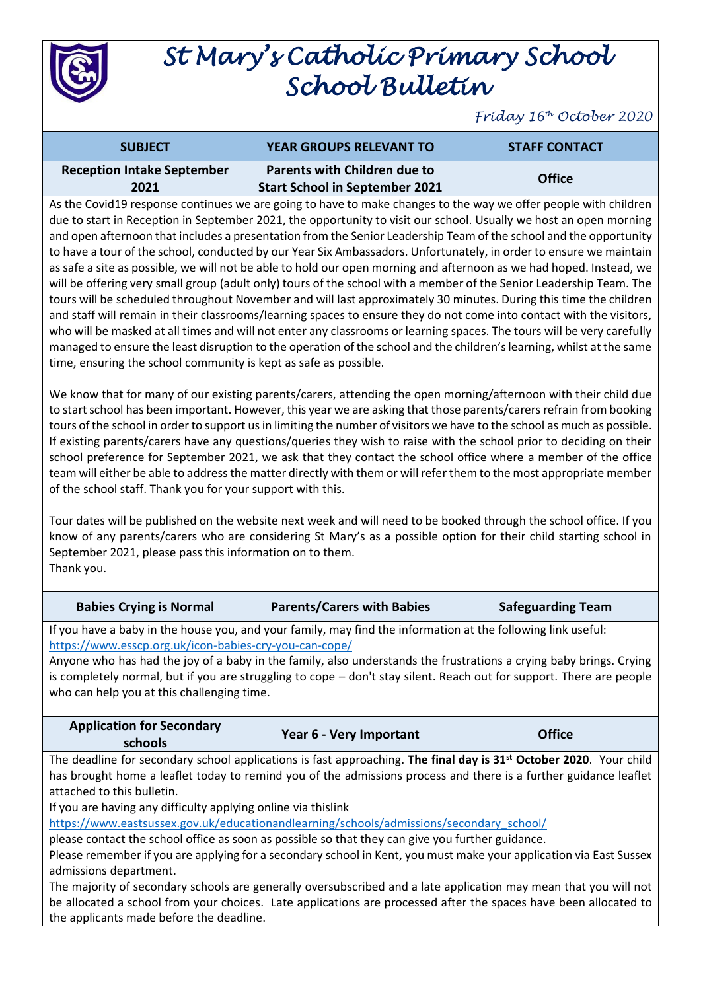

## *St Mary's Catholic Primary School School Bulletin*

*Friday 16th October 2020*

| <b>SUBJECT</b>                            | <b>YEAR GROUPS RELEVANT TO</b>                                               | <b>STAFF CONTACT</b> |
|-------------------------------------------|------------------------------------------------------------------------------|----------------------|
| <b>Reception Intake September</b><br>2021 | <b>Parents with Children due to</b><br><b>Start School in September 2021</b> | <b>Office</b>        |

As the Covid19 response continues we are going to have to make changes to the way we offer people with children due to start in Reception in September 2021, the opportunity to visit our school. Usually we host an open morning and open afternoon that includes a presentation from the Senior Leadership Team of the school and the opportunity to have a tour of the school, conducted by our Year Six Ambassadors. Unfortunately, in order to ensure we maintain as safe a site as possible, we will not be able to hold our open morning and afternoon as we had hoped. Instead, we will be offering very small group (adult only) tours of the school with a member of the Senior Leadership Team. The tours will be scheduled throughout November and will last approximately 30 minutes. During this time the children and staff will remain in their classrooms/learning spaces to ensure they do not come into contact with the visitors, who will be masked at all times and will not enter any classrooms or learning spaces. The tours will be very carefully managed to ensure the least disruption to the operation of the school and the children's learning, whilst at the same time, ensuring the school community is kept as safe as possible.

We know that for many of our existing parents/carers, attending the open morning/afternoon with their child due to start school has been important. However, this year we are asking that those parents/carers refrain from booking tours of the school in order to support us in limiting the number of visitors we have to the school as much as possible. If existing parents/carers have any questions/queries they wish to raise with the school prior to deciding on their school preference for September 2021, we ask that they contact the school office where a member of the office team will either be able to address the matter directly with them or will refer them to the most appropriate member of the school staff. Thank you for your support with this.

Tour dates will be published on the website next week and will need to be booked through the school office. If you know of any parents/carers who are considering St Mary's as a possible option for their child starting school in September 2021, please pass this information on to them. Thank you.

| <b>Babies Crying is Normal</b>                                                                                                 | <b>Parents/Carers with Babies</b> | <b>Safeguarding Team</b> |  |  |
|--------------------------------------------------------------------------------------------------------------------------------|-----------------------------------|--------------------------|--|--|
| If you have a baby in the house you, and your family, may find the information at the following link useful:                   |                                   |                          |  |  |
| https://www.esscp.org.uk/icon-babies-cry-you-can-cope/                                                                         |                                   |                          |  |  |
| Anyone who has had the joy of a baby in the family, also understands the frustrations a crying baby brings. Crying             |                                   |                          |  |  |
| is completely normal, but if you are struggling to cope - don't stay silent. Reach out for support. There are people           |                                   |                          |  |  |
| who can help you at this challenging time.                                                                                     |                                   |                          |  |  |
|                                                                                                                                |                                   |                          |  |  |
| <b>Application for Secondary</b>                                                                                               |                                   | <b>Office</b>            |  |  |
| schools                                                                                                                        | Year 6 - Very Important           |                          |  |  |
| The deadline for secondary school applications is fast approaching. The final day is 31 <sup>st</sup> October 2020. Your child |                                   |                          |  |  |
| has brought home a leaflet today to remind you of the admissions process and there is a further guidance leaflet               |                                   |                          |  |  |
| attached to this bulletin.                                                                                                     |                                   |                          |  |  |
| If you are having any difficulty applying online via thislink                                                                  |                                   |                          |  |  |
| https://www.eastsussex.gov.uk/educationandlearning/schools/admissions/secondary_school/                                        |                                   |                          |  |  |
| please contact the school office as soon as possible so that they can give you further guidance.                               |                                   |                          |  |  |
| Please remember if you are applying for a secondary school in Kent, you must make your application via East Sussex             |                                   |                          |  |  |
| admissions department.                                                                                                         |                                   |                          |  |  |
| The majority of secondary schools are generally oversubscribed and a late application may mean that you will not               |                                   |                          |  |  |
| be allocated a school from your choices. Late applications are processed after the spaces have been allocated to               |                                   |                          |  |  |
| the applicants made before the deadline.                                                                                       |                                   |                          |  |  |